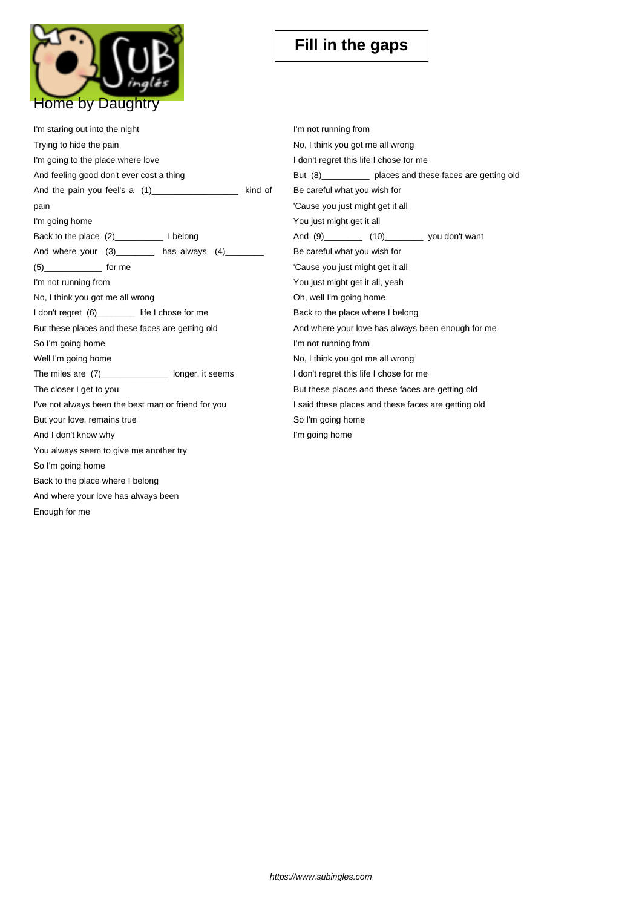

I'm staring out into the night Trying to hide the pain I'm going to the place where love And feeling good don't ever cost a thing And the pain you feel's a  $(1)$ \_\_\_\_\_\_\_\_\_\_\_\_\_\_\_\_\_\_\_\_ kind of pain I'm going home Back to the place (2)\_\_\_\_\_\_\_\_\_\_ I belong And where your  $(3)$ \_\_\_\_\_\_\_\_ has always  $(4)$ \_ (5)\_\_\_\_\_\_\_\_\_\_\_\_ for me I'm not running from No, I think you got me all wrong I don't regret (6)\_\_\_\_\_\_\_\_ life I chose for me But these places and these faces are getting old So I'm going home Well I'm going home The miles are  $(7)$ \_\_\_\_\_\_\_\_\_\_\_\_\_\_\_\_\_\_ longer, it seems The closer I get to you I've not always been the best man or friend for you But your love, remains true And I don't know why You always seem to give me another try So I'm going home Back to the place where I belong And where your love has always been Enough for me I'm not running from No, I think you got me all wrong I don't regret this life I chose for me But (8)\_\_\_\_\_\_\_\_\_\_ places and these faces are getting old Be careful what you wish for 'Cause you just might get it all You just might get it all And (9)\_\_\_\_\_\_\_\_ (10)\_\_\_\_\_\_\_\_ you don't want Be careful what you wish for 'Cause you just might get it all You just might get it all, yeah Oh, well I'm going home Back to the place where I belong And where your love has always been enough for me I'm not running from No, I think you got me all wrong I don't regret this life I chose for me But these places and these faces are getting old I said these places and these faces are getting old So I'm going home I'm going home

https://www.subingles.com